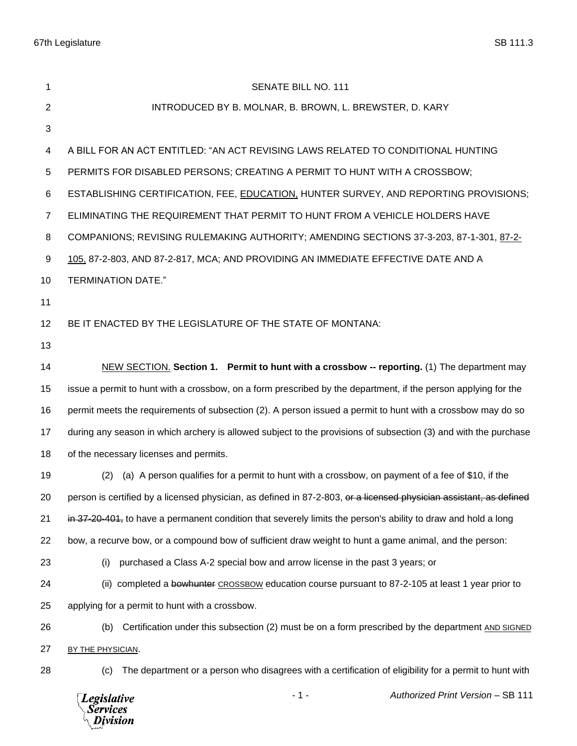| 1              | <b>SENATE BILL NO. 111</b>                                                                                         |
|----------------|--------------------------------------------------------------------------------------------------------------------|
| $\overline{2}$ | INTRODUCED BY B. MOLNAR, B. BROWN, L. BREWSTER, D. KARY                                                            |
| 3              |                                                                                                                    |
| 4              | A BILL FOR AN ACT ENTITLED: "AN ACT REVISING LAWS RELATED TO CONDITIONAL HUNTING                                   |
| $\sqrt{5}$     | PERMITS FOR DISABLED PERSONS; CREATING A PERMIT TO HUNT WITH A CROSSBOW;                                           |
| 6              | ESTABLISHING CERTIFICATION, FEE, EDUCATION, HUNTER SURVEY, AND REPORTING PROVISIONS;                               |
| $\overline{7}$ | ELIMINATING THE REQUIREMENT THAT PERMIT TO HUNT FROM A VEHICLE HOLDERS HAVE                                        |
| 8              | COMPANIONS; REVISING RULEMAKING AUTHORITY; AMENDING SECTIONS 37-3-203, 87-1-301, 87-2-                             |
| 9              | 105, 87-2-803, AND 87-2-817, MCA; AND PROVIDING AN IMMEDIATE EFFECTIVE DATE AND A                                  |
| 10             | <b>TERMINATION DATE."</b>                                                                                          |
| 11             |                                                                                                                    |
| 12             | BE IT ENACTED BY THE LEGISLATURE OF THE STATE OF MONTANA:                                                          |
| 13             |                                                                                                                    |
| 14             | NEW SECTION. Section 1. Permit to hunt with a crossbow -- reporting. (1) The department may                        |
| 15             | issue a permit to hunt with a crossbow, on a form prescribed by the department, if the person applying for the     |
| 16             | permit meets the requirements of subsection (2). A person issued a permit to hunt with a crossbow may do so        |
| 17             | during any season in which archery is allowed subject to the provisions of subsection (3) and with the purchase    |
| 18             | of the necessary licenses and permits.                                                                             |
| 19             | (a) A person qualifies for a permit to hunt with a crossbow, on payment of a fee of \$10, if the<br>(2)            |
| 20             | person is certified by a licensed physician, as defined in 87-2-803, or a licensed physician assistant, as defined |
| 21             | in 37-20-401, to have a permanent condition that severely limits the person's ability to draw and hold a long      |
| 22             | bow, a recurve bow, or a compound bow of sufficient draw weight to hunt a game animal, and the person:             |
| 23             | purchased a Class A-2 special bow and arrow license in the past 3 years; or<br>(i)                                 |
| 24             | (ii) completed a bowhunter CROSSBOW education course pursuant to 87-2-105 at least 1 year prior to                 |
| 25             | applying for a permit to hunt with a crossbow.                                                                     |
| 26             | Certification under this subsection (2) must be on a form prescribed by the department AND SIGNED<br>(b)           |
| 27             | BY THE PHYSICIAN.                                                                                                  |
| 28             | The department or a person who disagrees with a certification of eligibility for a permit to hunt with<br>(c)      |
|                | $-1-$<br>Authorized Print Version - SB 111<br><b>Legislative</b><br><b>Services</b><br>Division                    |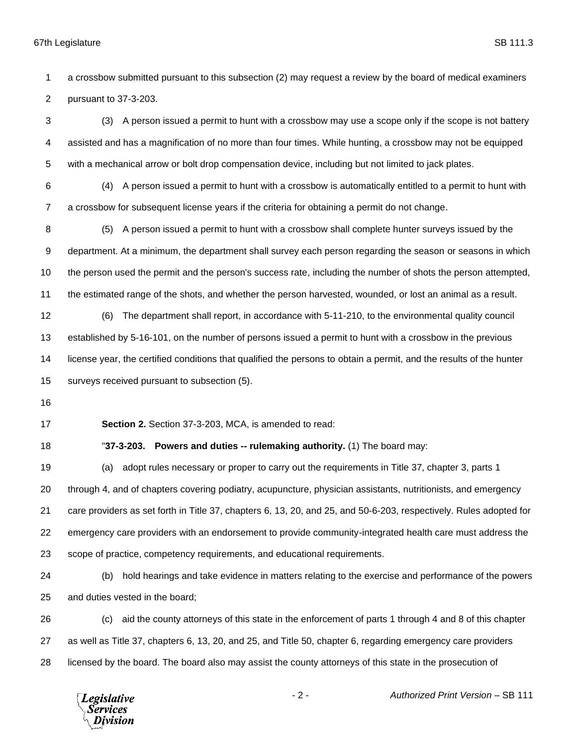a crossbow submitted pursuant to this subsection (2) may request a review by the board of medical examiners pursuant to 37-3-203.

 (3) A person issued a permit to hunt with a crossbow may use a scope only if the scope is not battery assisted and has a magnification of no more than four times. While hunting, a crossbow may not be equipped with a mechanical arrow or bolt drop compensation device, including but not limited to jack plates.

 (4) A person issued a permit to hunt with a crossbow is automatically entitled to a permit to hunt with a crossbow for subsequent license years if the criteria for obtaining a permit do not change.

 (5) A person issued a permit to hunt with a crossbow shall complete hunter surveys issued by the department. At a minimum, the department shall survey each person regarding the season or seasons in which the person used the permit and the person's success rate, including the number of shots the person attempted, the estimated range of the shots, and whether the person harvested, wounded, or lost an animal as a result.

 (6) The department shall report, in accordance with 5-11-210, to the environmental quality council established by 5-16-101, on the number of persons issued a permit to hunt with a crossbow in the previous license year, the certified conditions that qualified the persons to obtain a permit, and the results of the hunter surveys received pursuant to subsection (5).

**Section 2.** Section 37-3-203, MCA, is amended to read:

"**37-3-203. Powers and duties -- rulemaking authority.** (1) The board may:

 (a) adopt rules necessary or proper to carry out the requirements in Title 37, chapter 3, parts 1 through 4, and of chapters covering podiatry, acupuncture, physician assistants, nutritionists, and emergency care providers as set forth in Title 37, chapters 6, 13, 20, and 25, and 50-6-203, respectively. Rules adopted for emergency care providers with an endorsement to provide community-integrated health care must address the scope of practice, competency requirements, and educational requirements.

 (b) hold hearings and take evidence in matters relating to the exercise and performance of the powers and duties vested in the board;

 (c) aid the county attorneys of this state in the enforcement of parts 1 through 4 and 8 of this chapter as well as Title 37, chapters 6, 13, 20, and 25, and Title 50, chapter 6, regarding emergency care providers licensed by the board. The board also may assist the county attorneys of this state in the prosecution of

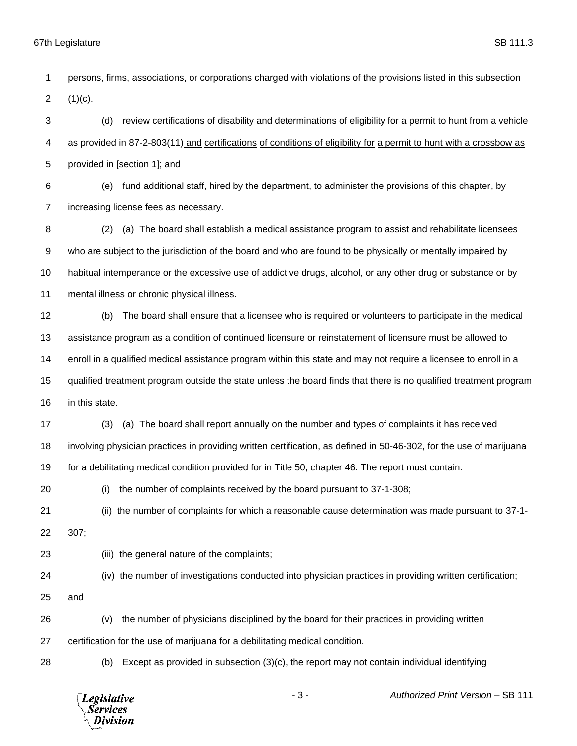persons, firms, associations, or corporations charged with violations of the provisions listed in this subsection 2  $(1)(c)$ . (d) review certifications of disability and determinations of eligibility for a permit to hunt from a vehicle as provided in 87-2-803(11) and certifications of conditions of eligibility for a permit to hunt with a crossbow as provided in [section 1]; and 6 (e) fund additional staff, hired by the department, to administer the provisions of this chapter, by increasing license fees as necessary. (2) (a) The board shall establish a medical assistance program to assist and rehabilitate licensees who are subject to the jurisdiction of the board and who are found to be physically or mentally impaired by habitual intemperance or the excessive use of addictive drugs, alcohol, or any other drug or substance or by mental illness or chronic physical illness. (b) The board shall ensure that a licensee who is required or volunteers to participate in the medical assistance program as a condition of continued licensure or reinstatement of licensure must be allowed to enroll in a qualified medical assistance program within this state and may not require a licensee to enroll in a qualified treatment program outside the state unless the board finds that there is no qualified treatment program in this state. (3) (a) The board shall report annually on the number and types of complaints it has received involving physician practices in providing written certification, as defined in 50-46-302, for the use of marijuana for a debilitating medical condition provided for in Title 50, chapter 46. The report must contain: (i) the number of complaints received by the board pursuant to 37-1-308; (ii) the number of complaints for which a reasonable cause determination was made pursuant to 37-1- 307; (iii) the general nature of the complaints; (iv) the number of investigations conducted into physician practices in providing written certification; and (v) the number of physicians disciplined by the board for their practices in providing written certification for the use of marijuana for a debilitating medical condition. (b) Except as provided in subsection (3)(c), the report may not contain individual identifying



- 3 - *Authorized Print Version* – SB 111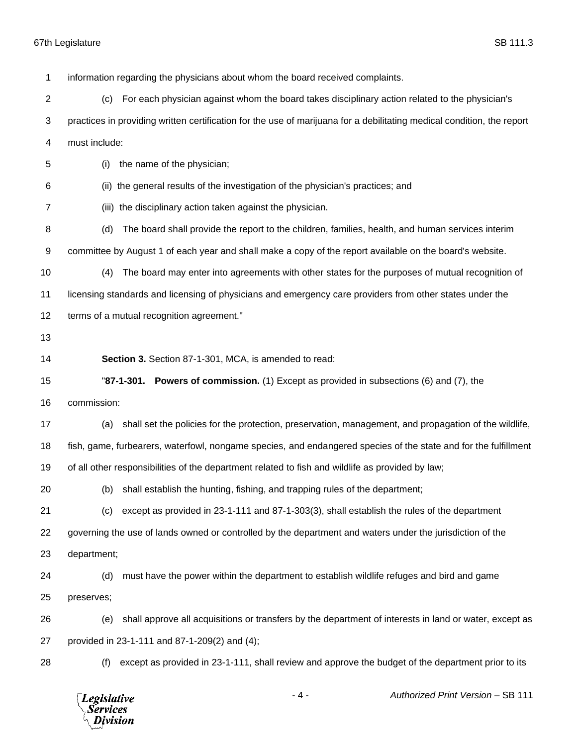information regarding the physicians about whom the board received complaints. (c) For each physician against whom the board takes disciplinary action related to the physician's practices in providing written certification for the use of marijuana for a debilitating medical condition, the report must include: (i) the name of the physician; (ii) the general results of the investigation of the physician's practices; and (iii) the disciplinary action taken against the physician. (d) The board shall provide the report to the children, families, health, and human services interim committee by August 1 of each year and shall make a copy of the report available on the board's website. (4) The board may enter into agreements with other states for the purposes of mutual recognition of licensing standards and licensing of physicians and emergency care providers from other states under the terms of a mutual recognition agreement." **Section 3.** Section 87-1-301, MCA, is amended to read: "**87-1-301. Powers of commission.** (1) Except as provided in subsections (6) and (7), the commission: (a) shall set the policies for the protection, preservation, management, and propagation of the wildlife, fish, game, furbearers, waterfowl, nongame species, and endangered species of the state and for the fulfillment of all other responsibilities of the department related to fish and wildlife as provided by law; (b) shall establish the hunting, fishing, and trapping rules of the department; (c) except as provided in 23-1-111 and 87-1-303(3), shall establish the rules of the department governing the use of lands owned or controlled by the department and waters under the jurisdiction of the department; (d) must have the power within the department to establish wildlife refuges and bird and game preserves; (e) shall approve all acquisitions or transfers by the department of interests in land or water, except as provided in 23-1-111 and 87-1-209(2) and (4); (f) except as provided in 23-1-111, shall review and approve the budget of the department prior to its

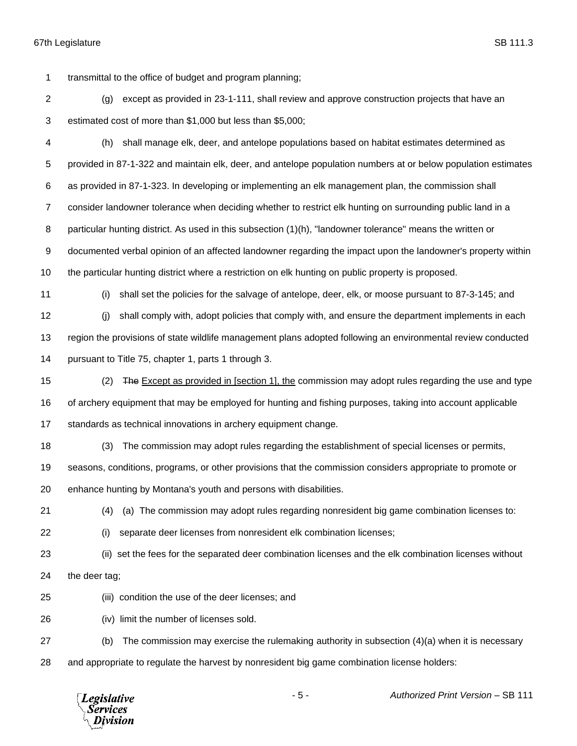transmittal to the office of budget and program planning;

 (g) except as provided in 23-1-111, shall review and approve construction projects that have an estimated cost of more than \$1,000 but less than \$5,000;

 (h) shall manage elk, deer, and antelope populations based on habitat estimates determined as provided in 87-1-322 and maintain elk, deer, and antelope population numbers at or below population estimates as provided in 87-1-323. In developing or implementing an elk management plan, the commission shall consider landowner tolerance when deciding whether to restrict elk hunting on surrounding public land in a particular hunting district. As used in this subsection (1)(h), "landowner tolerance" means the written or documented verbal opinion of an affected landowner regarding the impact upon the landowner's property within the particular hunting district where a restriction on elk hunting on public property is proposed.

(i) shall set the policies for the salvage of antelope, deer, elk, or moose pursuant to 87-3-145; and

 (j) shall comply with, adopt policies that comply with, and ensure the department implements in each region the provisions of state wildlife management plans adopted following an environmental review conducted pursuant to Title 75, chapter 1, parts 1 through 3.

15 (2) The Except as provided in [section 1], the commission may adopt rules regarding the use and type of archery equipment that may be employed for hunting and fishing purposes, taking into account applicable standards as technical innovations in archery equipment change.

- (3) The commission may adopt rules regarding the establishment of special licenses or permits,
- seasons, conditions, programs, or other provisions that the commission considers appropriate to promote or
- enhance hunting by Montana's youth and persons with disabilities.
- 

(4) (a) The commission may adopt rules regarding nonresident big game combination licenses to:

- 
- (i) separate deer licenses from nonresident elk combination licenses;
- (ii) set the fees for the separated deer combination licenses and the elk combination licenses without
- the deer tag;
- (iii) condition the use of the deer licenses; and
- (iv) limit the number of licenses sold.
- (b) The commission may exercise the rulemaking authority in subsection (4)(a) when it is necessary and appropriate to regulate the harvest by nonresident big game combination license holders:

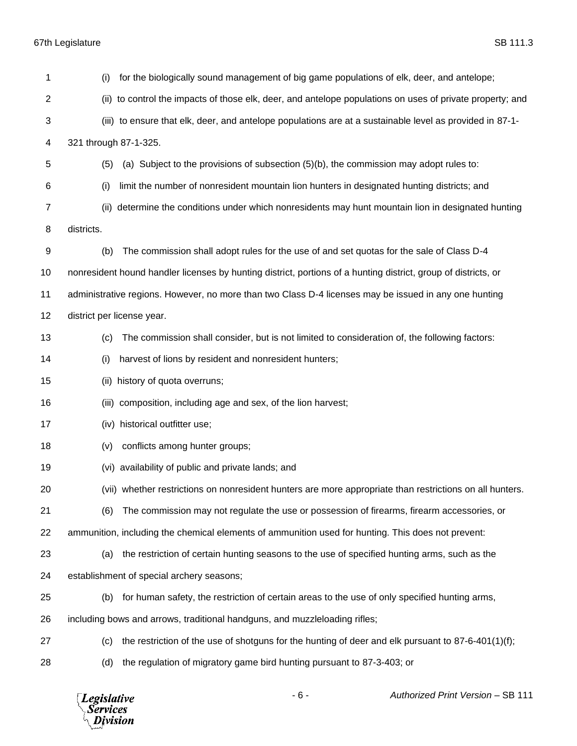| 1              | for the biologically sound management of big game populations of elk, deer, and antelope;<br>(i)               |
|----------------|----------------------------------------------------------------------------------------------------------------|
| $\overline{2}$ | (ii) to control the impacts of those elk, deer, and antelope populations on uses of private property; and      |
| 3              | (iii) to ensure that elk, deer, and antelope populations are at a sustainable level as provided in 87-1-       |
| 4              | 321 through 87-1-325.                                                                                          |
| 5              | (a) Subject to the provisions of subsection (5)(b), the commission may adopt rules to:<br>(5)                  |
| 6              | (i)<br>limit the number of nonresident mountain lion hunters in designated hunting districts; and              |
| 7              | determine the conditions under which nonresidents may hunt mountain lion in designated hunting<br>(ii)         |
| 8              | districts.                                                                                                     |
| 9              | The commission shall adopt rules for the use of and set quotas for the sale of Class D-4<br>(b)                |
| 10             | nonresident hound handler licenses by hunting district, portions of a hunting district, group of districts, or |
| 11             | administrative regions. However, no more than two Class D-4 licenses may be issued in any one hunting          |
| 12             | district per license year.                                                                                     |
| 13             | The commission shall consider, but is not limited to consideration of, the following factors:<br>(c)           |
| 14             | harvest of lions by resident and nonresident hunters;<br>(i)                                                   |
| 15             | history of quota overruns;<br>(ii)                                                                             |
| 16             | (iii) composition, including age and sex, of the lion harvest;                                                 |
| 17             | (iv) historical outfitter use;                                                                                 |
| 18             | conflicts among hunter groups;<br>(v)                                                                          |
| 19             | (vi) availability of public and private lands; and                                                             |
| 20             | (vii) whether restrictions on nonresident hunters are more appropriate than restrictions on all hunters.       |
| 21             | The commission may not regulate the use or possession of firearms, firearm accessories, or<br>(6)              |
| 22             | ammunition, including the chemical elements of ammunition used for hunting. This does not prevent:             |
| 23             | the restriction of certain hunting seasons to the use of specified hunting arms, such as the<br>(a)            |
| 24             | establishment of special archery seasons;                                                                      |
| 25             | for human safety, the restriction of certain areas to the use of only specified hunting arms,<br>(b)           |
| 26             | including bows and arrows, traditional handguns, and muzzleloading rifles;                                     |
| 27             | the restriction of the use of shotguns for the hunting of deer and elk pursuant to 87-6-401(1)(f);<br>(c)      |
| 28             | the regulation of migratory game bird hunting pursuant to 87-3-403; or<br>(d)                                  |
|                |                                                                                                                |

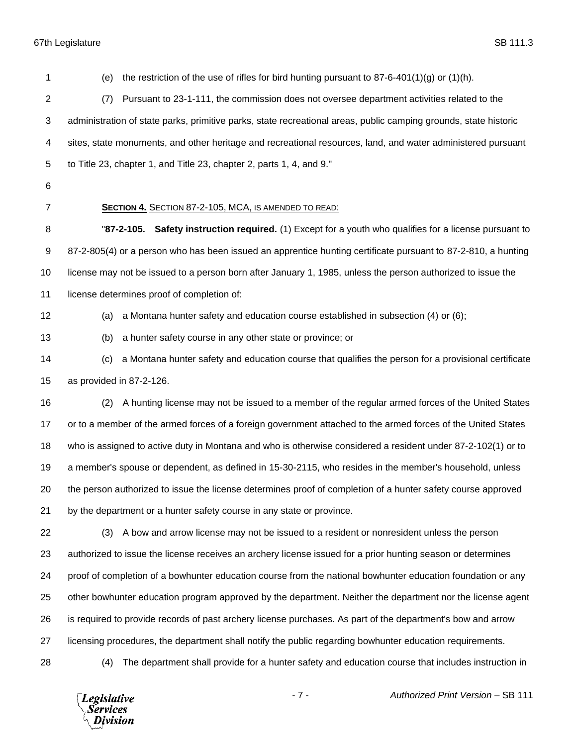(e) the restriction of the use of rifles for bird hunting pursuant to 87-6-401(1)(g) or (1)(h). (7) Pursuant to 23-1-111, the commission does not oversee department activities related to the administration of state parks, primitive parks, state recreational areas, public camping grounds, state historic sites, state monuments, and other heritage and recreational resources, land, and water administered pursuant to Title 23, chapter 1, and Title 23, chapter 2, parts 1, 4, and 9." **SECTION 4.** SECTION 87-2-105, MCA, IS AMENDED TO READ: "**87-2-105. Safety instruction required.** (1) Except for a youth who qualifies for a license pursuant to 87-2-805(4) or a person who has been issued an apprentice hunting certificate pursuant to 87-2-810, a hunting license may not be issued to a person born after January 1, 1985, unless the person authorized to issue the 11 license determines proof of completion of: (a) a Montana hunter safety and education course established in subsection (4) or (6); (b) a hunter safety course in any other state or province; or (c) a Montana hunter safety and education course that qualifies the person for a provisional certificate as provided in 87-2-126. (2) A hunting license may not be issued to a member of the regular armed forces of the United States or to a member of the armed forces of a foreign government attached to the armed forces of the United States who is assigned to active duty in Montana and who is otherwise considered a resident under 87-2-102(1) or to a member's spouse or dependent, as defined in 15-30-2115, who resides in the member's household, unless the person authorized to issue the license determines proof of completion of a hunter safety course approved by the department or a hunter safety course in any state or province. (3) A bow and arrow license may not be issued to a resident or nonresident unless the person authorized to issue the license receives an archery license issued for a prior hunting season or determines proof of completion of a bowhunter education course from the national bowhunter education foundation or any other bowhunter education program approved by the department. Neither the department nor the license agent is required to provide records of past archery license purchases. As part of the department's bow and arrow licensing procedures, the department shall notify the public regarding bowhunter education requirements. (4) The department shall provide for a hunter safety and education course that includes instruction in

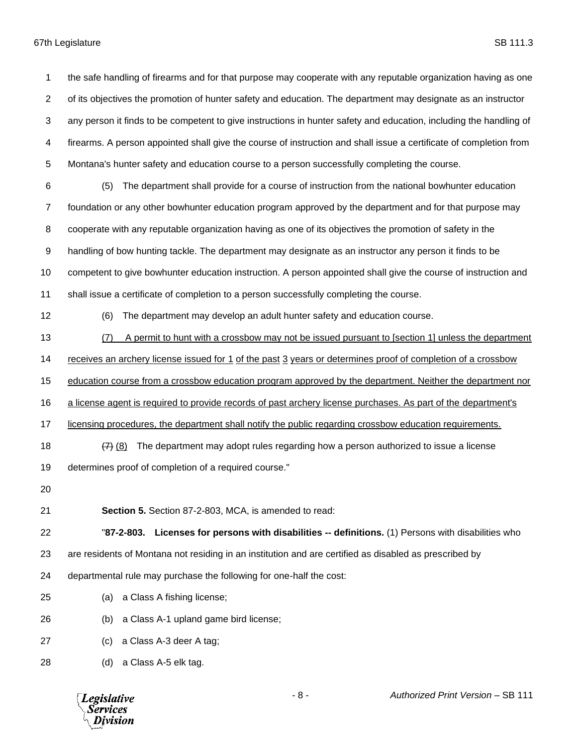the safe handling of firearms and for that purpose may cooperate with any reputable organization having as one of its objectives the promotion of hunter safety and education. The department may designate as an instructor any person it finds to be competent to give instructions in hunter safety and education, including the handling of firearms. A person appointed shall give the course of instruction and shall issue a certificate of completion from Montana's hunter safety and education course to a person successfully completing the course.

 (5) The department shall provide for a course of instruction from the national bowhunter education foundation or any other bowhunter education program approved by the department and for that purpose may cooperate with any reputable organization having as one of its objectives the promotion of safety in the handling of bow hunting tackle. The department may designate as an instructor any person it finds to be competent to give bowhunter education instruction. A person appointed shall give the course of instruction and shall issue a certificate of completion to a person successfully completing the course.

(6) The department may develop an adult hunter safety and education course.

(7) A permit to hunt with a crossbow may not be issued pursuant to [section 1] unless the department

receives an archery license issued for 1 of the past 3 years or determines proof of completion of a crossbow

education course from a crossbow education program approved by the department. Neither the department nor

a license agent is required to provide records of past archery license purchases. As part of the department's

licensing procedures, the department shall notify the public regarding crossbow education requirements.

18  $\left(7\right)$  (8) The department may adopt rules regarding how a person authorized to issue a license

determines proof of completion of a required course."

**Section 5.** Section 87-2-803, MCA, is amended to read:

 "**87-2-803. Licenses for persons with disabilities -- definitions.** (1) Persons with disabilities who are residents of Montana not residing in an institution and are certified as disabled as prescribed by

departmental rule may purchase the following for one-half the cost:

- (a) a Class A fishing license;
- (b) a Class A-1 upland game bird license;
- (c) a Class A-3 deer A tag;
- (d) a Class A-5 elk tag.

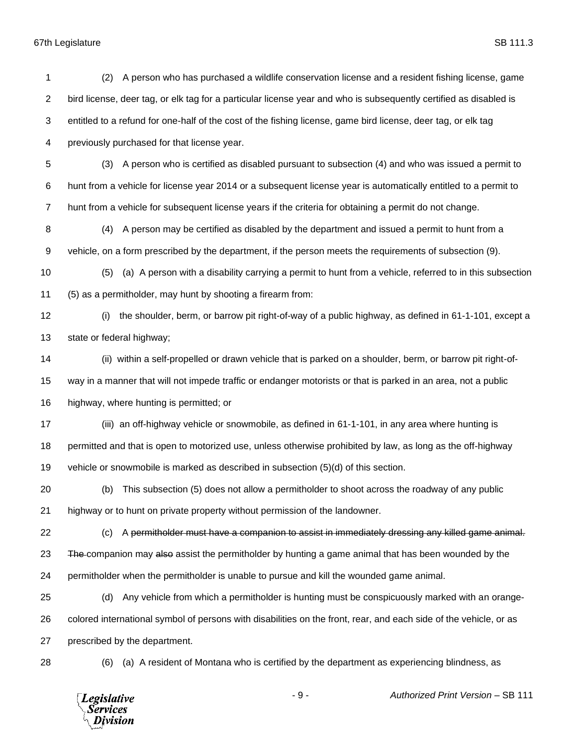*Legislative*<br>Services<br>*Division* 

| 1              | A person who has purchased a wildlife conservation license and a resident fishing license, game<br>(2)            |
|----------------|-------------------------------------------------------------------------------------------------------------------|
| $\overline{2}$ | bird license, deer tag, or elk tag for a particular license year and who is subsequently certified as disabled is |
| 3              | entitled to a refund for one-half of the cost of the fishing license, game bird license, deer tag, or elk tag     |
| 4              | previously purchased for that license year.                                                                       |
| 5              | A person who is certified as disabled pursuant to subsection (4) and who was issued a permit to<br>(3)            |
| 6              | hunt from a vehicle for license year 2014 or a subsequent license year is automatically entitled to a permit to   |
| $\overline{7}$ | hunt from a vehicle for subsequent license years if the criteria for obtaining a permit do not change.            |
| 8              | A person may be certified as disabled by the department and issued a permit to hunt from a<br>(4)                 |
| 9              | vehicle, on a form prescribed by the department, if the person meets the requirements of subsection (9).          |
| 10             | (a) A person with a disability carrying a permit to hunt from a vehicle, referred to in this subsection<br>(5)    |
| 11             | (5) as a permitholder, may hunt by shooting a firearm from:                                                       |
| 12             | the shoulder, berm, or barrow pit right-of-way of a public highway, as defined in 61-1-101, except a<br>(i)       |
| 13             | state or federal highway;                                                                                         |
| 14             | (ii) within a self-propelled or drawn vehicle that is parked on a shoulder, berm, or barrow pit right-of-         |
| 15             | way in a manner that will not impede traffic or endanger motorists or that is parked in an area, not a public     |
| 16             | highway, where hunting is permitted; or                                                                           |
| 17             | (iii) an off-highway vehicle or snowmobile, as defined in 61-1-101, in any area where hunting is                  |
| 18             | permitted and that is open to motorized use, unless otherwise prohibited by law, as long as the off-highway       |
| 19             | vehicle or snowmobile is marked as described in subsection (5)(d) of this section.                                |
| 20             | (b) This subsection (5) does not allow a permitholder to shoot across the roadway of any public                   |
| 21             | highway or to hunt on private property without permission of the landowner.                                       |
| 22             | A permitholder must have a companion to assist in immediately dressing any killed game animal.<br>(c)             |
| 23             | The companion may also assist the permitholder by hunting a game animal that has been wounded by the              |
| 24             | permitholder when the permitholder is unable to pursue and kill the wounded game animal.                          |
| 25             | Any vehicle from which a permitholder is hunting must be conspicuously marked with an orange-<br>(d)              |
| 26             | colored international symbol of persons with disabilities on the front, rear, and each side of the vehicle, or as |
| 27             | prescribed by the department.                                                                                     |
| 28             | (a) A resident of Montana who is certified by the department as experiencing blindness, as<br>(6)                 |
|                |                                                                                                                   |

- 9 - *Authorized Print Version* – SB 111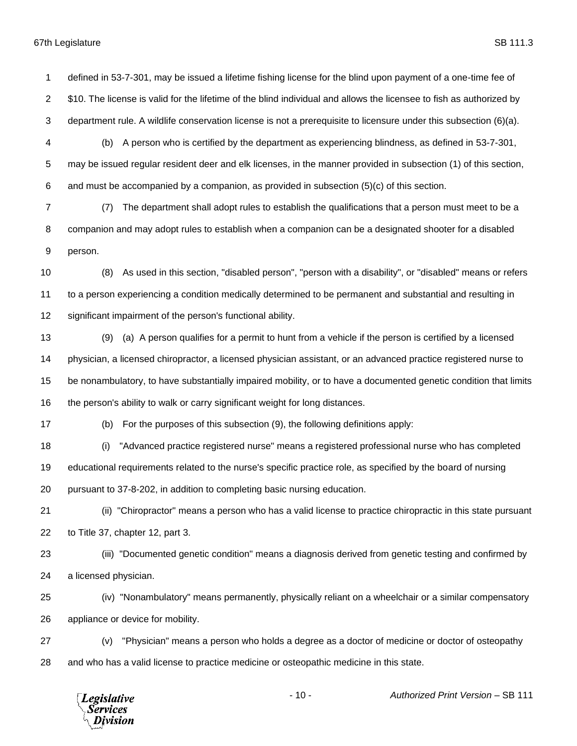defined in 53-7-301, may be issued a lifetime fishing license for the blind upon payment of a one-time fee of \$10. The license is valid for the lifetime of the blind individual and allows the licensee to fish as authorized by department rule. A wildlife conservation license is not a prerequisite to licensure under this subsection (6)(a).

- (b) A person who is certified by the department as experiencing blindness, as defined in 53-7-301, may be issued regular resident deer and elk licenses, in the manner provided in subsection (1) of this section, and must be accompanied by a companion, as provided in subsection (5)(c) of this section.
- (7) The department shall adopt rules to establish the qualifications that a person must meet to be a companion and may adopt rules to establish when a companion can be a designated shooter for a disabled person.
- (8) As used in this section, "disabled person", "person with a disability", or "disabled" means or refers to a person experiencing a condition medically determined to be permanent and substantial and resulting in significant impairment of the person's functional ability.
- (9) (a) A person qualifies for a permit to hunt from a vehicle if the person is certified by a licensed physician, a licensed chiropractor, a licensed physician assistant, or an advanced practice registered nurse to be nonambulatory, to have substantially impaired mobility, or to have a documented genetic condition that limits the person's ability to walk or carry significant weight for long distances.
- 

(b) For the purposes of this subsection (9), the following definitions apply:

- (i) "Advanced practice registered nurse" means a registered professional nurse who has completed
- educational requirements related to the nurse's specific practice role, as specified by the board of nursing
- pursuant to 37-8-202, in addition to completing basic nursing education.
- (ii) "Chiropractor" means a person who has a valid license to practice chiropractic in this state pursuant to Title 37, chapter 12, part 3.
- (iii) "Documented genetic condition" means a diagnosis derived from genetic testing and confirmed by a licensed physician.
- (iv) "Nonambulatory" means permanently, physically reliant on a wheelchair or a similar compensatory appliance or device for mobility.
- (v) "Physician" means a person who holds a degree as a doctor of medicine or doctor of osteopathy and who has a valid license to practice medicine or osteopathic medicine in this state.

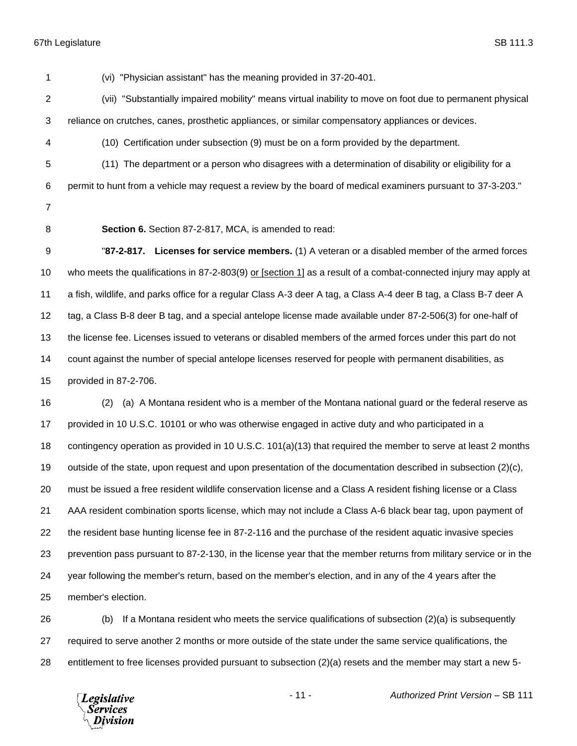(vi) "Physician assistant" has the meaning provided in 37-20-401. (vii) "Substantially impaired mobility" means virtual inability to move on foot due to permanent physical reliance on crutches, canes, prosthetic appliances, or similar compensatory appliances or devices. (10) Certification under subsection (9) must be on a form provided by the department. (11) The department or a person who disagrees with a determination of disability or eligibility for a permit to hunt from a vehicle may request a review by the board of medical examiners pursuant to 37-3-203." **Section 6.** Section 87-2-817, MCA, is amended to read: "**87-2-817. Licenses for service members.** (1) A veteran or a disabled member of the armed forces who meets the qualifications in 87-2-803(9) or [section 1] as a result of a combat-connected injury may apply at a fish, wildlife, and parks office for a regular Class A-3 deer A tag, a Class A-4 deer B tag, a Class B-7 deer A tag, a Class B-8 deer B tag, and a special antelope license made available under 87-2-506(3) for one-half of the license fee. Licenses issued to veterans or disabled members of the armed forces under this part do not count against the number of special antelope licenses reserved for people with permanent disabilities, as provided in 87-2-706. (2) (a) A Montana resident who is a member of the Montana national guard or the federal reserve as provided in 10 U.S.C. 10101 or who was otherwise engaged in active duty and who participated in a 18 contingency operation as provided in 10 U.S.C. 101(a)(13) that required the member to serve at least 2 months outside of the state, upon request and upon presentation of the documentation described in subsection (2)(c),

must be issued a free resident wildlife conservation license and a Class A resident fishing license or a Class

AAA resident combination sports license, which may not include a Class A-6 black bear tag, upon payment of

the resident base hunting license fee in 87-2-116 and the purchase of the resident aquatic invasive species

prevention pass pursuant to 87-2-130, in the license year that the member returns from military service or in the

 year following the member's return, based on the member's election, and in any of the 4 years after the member's election.

 (b) If a Montana resident who meets the service qualifications of subsection (2)(a) is subsequently required to serve another 2 months or more outside of the state under the same service qualifications, the entitlement to free licenses provided pursuant to subsection (2)(a) resets and the member may start a new 5-